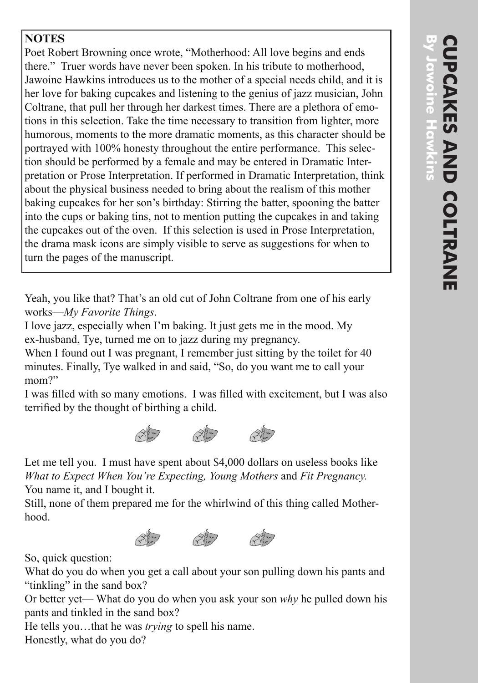## **NOTES**

Poet Robert Browning once wrote, "Motherhood: All love begins and ends there." Truer words have never been spoken. In his tribute to motherhood, Jawoine Hawkins introduces us to the mother of a special needs child, and it is her love for baking cupcakes and listening to the genius of jazz musician, John Coltrane, that pull her through her darkest times. There are a plethora of emo tions in this selection. Take the time necessary to transition from lighter, more humorous, moments to the more dramatic moments, as this character should be portrayed with 100% honesty throughout the entire performance. This selec tion should be performed by a female and may be entered in Dramatic Inter pretation or Prose Interpretation. If performed in Dramatic Interpretation, think about the physical business needed to bring about the realism of this mother baking cupcakes for her son's birthday: Stirring the batter, spooning the batter into the cups or baking tins, not to mention putting the cupcakes in and taking the cupcakes out of the oven. If this selection is used in Prose Interpretation, the drama mask icons are simply visible to serve as suggestions for when to turn the pages of the manuscript.

Yeah, you like that? That's an old cut of John Coltrane from one of his early works—*My Favorite Things* .

I love jazz, especially when I'm baking. It just gets me in the mood. My ex-husband, Tye, turned me on to jazz during my pregnancy.

When I found out I was pregnant, I remember just sitting by the toilet for 40 minutes. Finally, Tye walked in and said, "So, do you want me to call your mom?"

I was filled with so many emotions. I was filled with excitement, but I was also terrified by the thought of birthing a child.



Let me tell you. I must have spent about \$4,000 dollars on useless books like *What to Expect When You're Expecting, Young Mothers* and *Fit Pregnancy.* You name it, and I bought it.

Still, none of them prepared me for the whirlwind of this thing called Mother hood.



So, quick question:

What do you do when you get a call about your son pulling down his pants and "tinkling" in the sand box?

Or better yet— What do you do when you ask your son *why* he pulled down his pants and tinkled in the sand box?

He tells you…that he was *trying* to spell his name.

Honestly, what do you do?